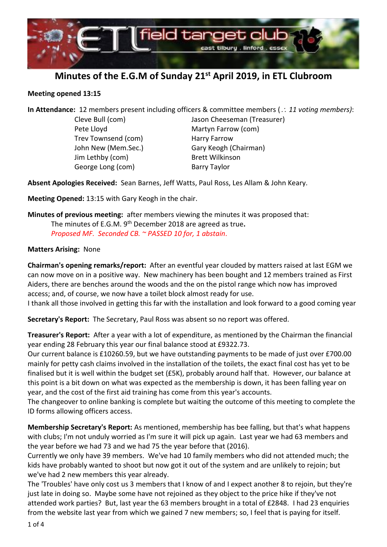

# **Minutes of the E.G.M of Sunday 21st April 2019, in ETL Clubroom**

#### **Meeting opened 13:15**

**In Attendance:** 12 members present including officers & committee members ( *11 voting members)*:

Trev Townsend (com) Harry Farrow Jim Lethby (com) Brett Wilkinson George Long (com) Barry Taylor

Cleve Bull (com) Jason Cheeseman (Treasurer) Pete Lloyd Martyn Farrow (com) John New (Mem.Sec.) Gary Keogh (Chairman)

**Absent Apologies Received:** Sean Barnes, Jeff Watts, Paul Ross, Les Allam & John Keary.

**Meeting Opened:** 13:15 with Gary Keogh in the chair.

**Minutes of previous meeting:** after members viewing the minutes it was proposed that: The minutes of E.G.M. 9<sup>th</sup> December 2018 are agreed as true**.** *Proposed MF. Seconded CB. ~ PASSED 10 for, 1 abstain*.

#### **Matters Arising:** None

**Chairman's opening remarks/report:** After an eventful year clouded by matters raised at last EGM we can now move on in a positive way. New machinery has been bought and 12 members trained as First Aiders, there are benches around the woods and the on the pistol range which now has improved access; and, of course, we now have a toilet block almost ready for use.

I thank all those involved in getting this far with the installation and look forward to a good coming year

**Secretary's Report:** The Secretary, Paul Ross was absent so no report was offered.

**Treasurer's Report:** After a year with a lot of expenditure, as mentioned by the Chairman the financial year ending 28 February this year our final balance stood at £9322.73.

Our current balance is £10260.59, but we have outstanding payments to be made of just over £700.00 mainly for petty cash claims involved in the installation of the toilets, the exact final cost has yet to be finalised but it is well within the budget set (£5K), probably around half that. However, our balance at this point is a bit down on what was expected as the membership is down, it has been falling year on year, and the cost of the first aid training has come from this year's accounts.

The changeover to online banking is complete but waiting the outcome of this meeting to complete the ID forms allowing officers access.

**Membership Secretary's Report:** As mentioned, membership has bee falling, but that's what happens with clubs; I'm not unduly worried as I'm sure it will pick up again. Last year we had 63 members and the year before we had 73 and we had 75 the year before that (2016).

Currently we only have 39 members. We've had 10 family members who did not attended much; the kids have probably wanted to shoot but now got it out of the system and are unlikely to rejoin; but we've had 2 new members this year already.

The 'Troubles' have only cost us 3 members that I know of and I expect another 8 to rejoin, but they're just late in doing so. Maybe some have not rejoined as they object to the price hike if they've not attended work parties? But, last year the 63 members brought in a total of £2848. I had 23 enquiries from the website last year from which we gained 7 new members; so, I feel that is paying for itself.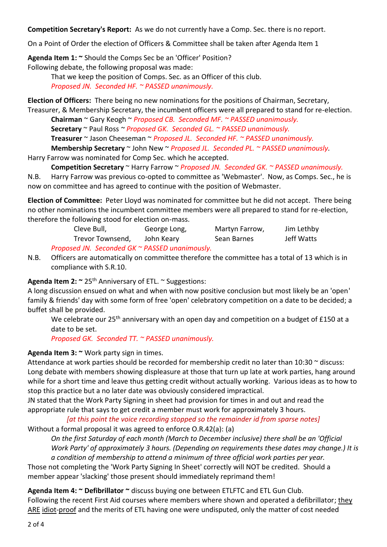**Competition Secretary's Report:** As we do not currently have a Comp. Sec. there is no report.

On a Point of Order the election of Officers & Committee shall be taken after Agenda Item 1

**Agenda Item 1: ~** Should the Comps Sec be an 'Officer' Position?

Following debate, the following proposal was made:

That we keep the position of Comps. Sec. as an Officer of this club. *Proposed JN. Seconded HF. ~ PASSED unanimously.*

**Election of Officers:** There being no new nominations for the positions of Chairman, Secretary, Treasurer, & Membership Secretary, the incumbent officers were all prepared to stand for re-election.

**Chairman** ~ Gary Keogh ~ *Proposed CB. Seconded MF. ~ PASSED unanimously.* **Secretary** ~ Paul Ross *~ Proposed GK. Seconded GL. ~ PASSED unanimously.* **Treasurer** ~ Jason Cheeseman ~ *Proposed JL. Seconded HF. ~ PASSED unanimously.* **Membership Secretary** ~ John New ~ *Proposed JL. Seconded PL. ~ PASSED unanimously.*

Harry Farrow was nominated for Comp Sec. which he accepted. **Competition Secretary** ~ Harry Farrow ~ *Proposed JN. Seconded GK. ~ PASSED unanimously.*

N.B. Harry Farrow was previous co-opted to committee as 'Webmaster'. Now, as Comps. Sec., he is now on committee and has agreed to continue with the position of Webmaster.

**Election of Committee:** Peter Lloyd was nominated for committee but he did not accept. There being no other nominations the incumbent committee members were all prepared to stand for re-election, therefore the following stood for election on-mass.

| Cleve Bull,                                    | George Long, | Martyn Farrow, | Jim Lethby |
|------------------------------------------------|--------------|----------------|------------|
| Trevor Townsend,                               | John Keary   | Sean Barnes    | Jeff Watts |
| Proposed JN. Seconded GK ~ PASSED unanimously. |              |                |            |

N.B. Officers are automatically on committee therefore the committee has a total of 13 which is in compliance with S.R.10.

# **Agenda Item 2: ~** 25th Anniversary of ETL. ~ Suggestions:

A long discussion ensued on what and when with now positive conclusion but most likely be an 'open' family & friends' day with some form of free 'open' celebratory competition on a date to be decided; a buffet shall be provided.

We celebrate our 25<sup>th</sup> anniversary with an open day and competition on a budget of £150 at a date to be set.

*Proposed GK. Seconded TT. ~ PASSED unanimously.*

# Agenda Item 3: ~ Work party sign in times.

Attendance at work parties should be recorded for membership credit no later than  $10:30$   $\sim$  discuss: Long debate with members showing displeasure at those that turn up late at work parties, hang around while for a short time and leave thus getting credit without actually working. Various ideas as to how to stop this practice but a no later date was obviously considered impractical.

JN stated that the Work Party Signing in sheet had provision for times in and out and read the appropriate rule that says to get credit a member must work for approximately 3 hours.

*[at this point the voice recording stopped so the remainder id from sparse notes]*

Without a formal proposal it was agreed to enforce O.R.42(a): (a)

*On the first Saturday of each month (March to December inclusive) there shall be an 'Official Work Party' of approximately 3 hours. (Depending on requirements these dates may change.) It is a condition of membership to attend a minimum of three official work parties per year.*

Those not completing the 'Work Party Signing In Sheet' correctly will NOT be credited. Should a member appear 'slacking' those present should immediately reprimand them!

**Agenda Item 4: ~ Defibrillator ~** discuss buying one between ETLFTC and ETL Gun Club. Following the recent First Aid courses where members where shown and operated a defibrillator; they ARE idiot-proof and the merits of ETL having one were undisputed, only the matter of cost needed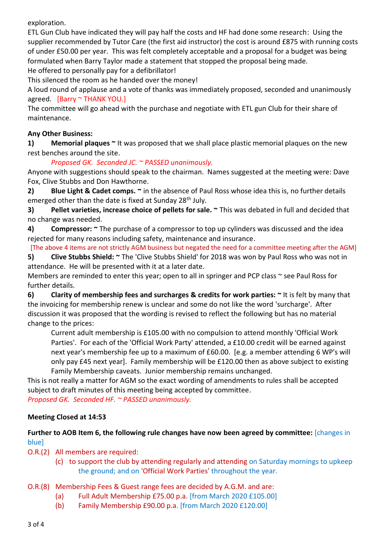exploration.

ETL Gun Club have indicated they will pay half the costs and HF had done some research: Using the supplier recommended by Tutor Care (the first aid instructor) the cost is around £875 with running costs of under £50.00 per year. This was felt completely acceptable and a proposal for a budget was being formulated when Barry Taylor made a statement that stopped the proposal being made. He offered to personally pay for a defibrillator!

This silenced the room as he handed over the money!

A loud round of applause and a vote of thanks was immediately proposed, seconded and unanimously agreed. [Barry ~ THANK YOU.]

The committee will go ahead with the purchase and negotiate with ETL gun Club for their share of maintenance.

#### **Any Other Business:**

**1) Memorial plaques ~** It was proposed that we shall place plastic memorial plaques on the new rest benches around the site.

*Proposed GK. Seconded JC. ~ PASSED unanimously.*

Anyone with suggestions should speak to the chairman. Names suggested at the meeting were: Dave Fox, Clive Stubbs and Don Hawthorne.

**2) Blue Light & Cadet comps. ~** in the absence of Paul Ross whose idea this is, no further details emerged other than the date is fixed at Sunday 28<sup>th</sup> July.

**3) Pellet varieties, increase choice of pellets for sale. ~** This was debated in full and decided that no change was needed.

**4) Compressor: ~** The purchase of a compressor to top up cylinders was discussed and the idea rejected for many reasons including safety, maintenance and insurance.

[The above 4 items are not strictly AGM business but negated the need for a committee meeting after the AGM] **5) Clive Stubbs Shield: ~** The 'Clive Stubbs Shield' for 2018 was won by Paul Ross who was not in attendance. He will be presented with it at a later date.

Members are reminded to enter this year; open to all in springer and PCP class ~ see Paul Ross for further details.

**6) Clarity of membership fees and surcharges & credits for work parties: ~** It is felt by many that the invoicing for membership renew is unclear and some do not like the word 'surcharge'. After discussion it was proposed that the wording is revised to reflect the following but has no material change to the prices:

Current adult membership is £105.00 with no compulsion to attend monthly 'Official Work Parties'. For each of the 'Official Work Party' attended, a £10.00 credit will be earned against next year's membership fee up to a maximum of £60.00. [e.g. a member attending 6 WP's will only pay £45 next year]. Family membership will be £120.00 then as above subject to existing Family Membership caveats. Junior membership remains unchanged.

This is not really a matter for AGM so the exact wording of amendments to rules shall be accepted subject to draft minutes of this meeting being accepted by committee. *Proposed GK. Seconded HF. ~ PASSED unanimously.*

# **Meeting Closed at 14:53**

**Further to AOB Item 6, the following rule changes have now been agreed by committee:** [changes in blue]

O.R.(2) All members are required:

- (c) to support the club by attending regularly and attending on Saturday mornings to upkeep the ground; and on 'Official Work Parties' throughout the year.
- O.R.(8) Membership Fees & Guest range fees are decided by A.G.M. and are:
	- (a) Full Adult Membership £75.00 p.a. [from March 2020 £105.00]
	- (b) Family Membership £90.00 p.a. [from March 2020 £120.00]